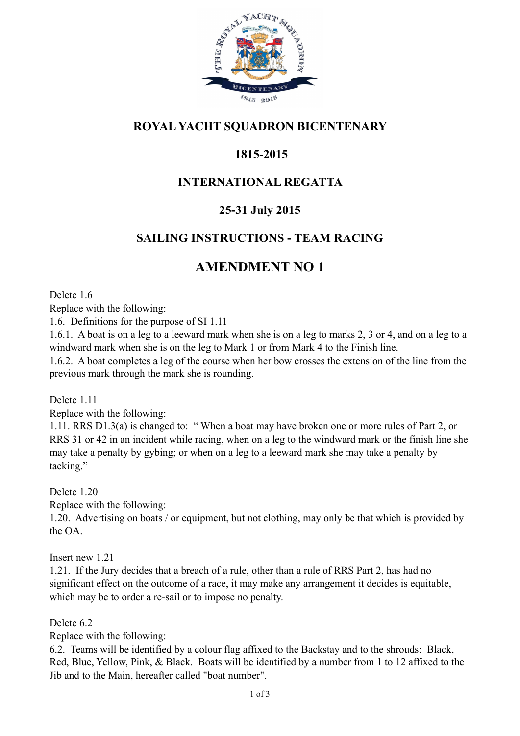

### **ROYAL YACHT SQUADRON BICENTENARY**

# **1815-2015**

### **INTERNATIONAL REGATTA**

#### **25-31 July 2015**

#### **SAILING INSTRUCTIONS - TEAM RACING**

# **AMENDMENT NO 1**

Delete 1.6

Replace with the following:

1.6. Definitions for the purpose of SI 1.11

1.6.1. A boat is on a leg to a leeward mark when she is on a leg to marks 2, 3 or 4, and on a leg to a windward mark when she is on the leg to Mark 1 or from Mark 4 to the Finish line.

1.6.2. A boat completes a leg of the course when her bow crosses the extension of the line from the previous mark through the mark she is rounding.

Delete 1 11

Replace with the following:

1.11. RRS D1.3(a) is changed to: " When a boat may have broken one or more rules of Part 2, or RRS 31 or 42 in an incident while racing, when on a leg to the windward mark or the finish line she may take a penalty by gybing; or when on a leg to a leeward mark she may take a penalty by tacking."

Delete 1.20 Replace with the following: 1.20. Advertising on boats / or equipment, but not clothing, may only be that which is provided by the OA.

Insert new 1.21

1.21. If the Jury decides that a breach of a rule, other than a rule of RRS Part 2, has had no significant effect on the outcome of a race, it may make any arrangement it decides is equitable, which may be to order a re-sail or to impose no penalty.

Delete 6.2

Replace with the following:

6.2. Teams will be identified by a colour flag affixed to the Backstay and to the shrouds: Black, Red, Blue, Yellow, Pink, & Black. Boats will be identified by a number from 1 to 12 affixed to the Jib and to the Main, hereafter called "boat number".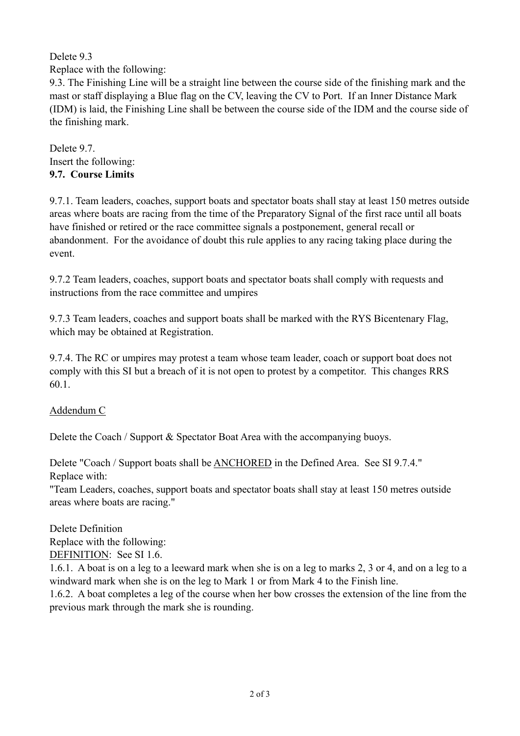Delete 9.3

Replace with the following:

9.3. The Finishing Line will be a straight line between the course side of the finishing mark and the mast or staff displaying a Blue flag on the CV, leaving the CV to Port. If an Inner Distance Mark (IDM) is laid, the Finishing Line shall be between the course side of the IDM and the course side of the finishing mark.

Delete 9.7. Insert the following: **9.7. Course Limits**

9.7.1. Team leaders, coaches, support boats and spectator boats shall stay at least 150 metres outside areas where boats are racing from the time of the Preparatory Signal of the first race until all boats have finished or retired or the race committee signals a postponement, general recall or abandonment. For the avoidance of doubt this rule applies to any racing taking place during the event.

9.7.2 Team leaders, coaches, support boats and spectator boats shall comply with requests and instructions from the race committee and umpires

9.7.3 Team leaders, coaches and support boats shall be marked with the RYS Bicentenary Flag, which may be obtained at Registration.

9.7.4. The RC or umpires may protest a team whose team leader, coach or support boat does not comply with this SI but a breach of it is not open to protest by a competitor. This changes RRS 60.1.

Addendum C

Delete the Coach / Support & Spectator Boat Area with the accompanying buoys.

Delete "Coach / Support boats shall be ANCHORED in the Defined Area. See SI 9.7.4." Replace with:

"Team Leaders, coaches, support boats and spectator boats shall stay at least 150 metres outside areas where boats are racing."

Delete Definition Replace with the following: DEFINITION: See SI 1.6.

1.6.1. A boat is on a leg to a leeward mark when she is on a leg to marks 2, 3 or 4, and on a leg to a windward mark when she is on the leg to Mark 1 or from Mark 4 to the Finish line.

1.6.2. A boat completes a leg of the course when her bow crosses the extension of the line from the previous mark through the mark she is rounding.